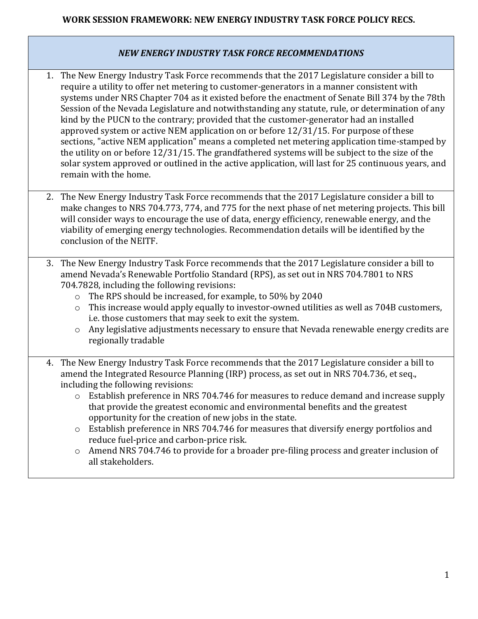## **WORK SESSION FRAMEWORK: NEW ENERGY INDUSTRY TASK FORCE POLICY RECS.**

## *NEW ENERGY INDUSTRY TASK FORCE RECOMMENDATIONS*

- 1. The New Energy Industry Task Force recommends that the 2017 Legislature consider a bill to require a utility to offer net metering to customer-generators in a manner consistent with systems under NRS Chapter 704 as it existed before the enactment of Senate Bill 374 by the 78th Session of the Nevada Legislature and notwithstanding any statute, rule, or determination of any kind by the PUCN to the contrary; provided that the customer-generator had an installed approved system or active NEM application on or before 12/31/15. For purpose of these sections, "active NEM application" means a completed net metering application time-stamped by the utility on or before 12/31/15. The grandfathered systems will be subject to the size of the solar system approved or outlined in the active application, will last for 25 continuous years, and remain with the home.
- 2. The New Energy Industry Task Force recommends that the 2017 Legislature consider a bill to make changes to NRS 704.773, 774, and 775 for the next phase of net metering projects. This bill will consider ways to encourage the use of data, energy efficiency, renewable energy, and the viability of emerging energy technologies. Recommendation details will be identified by the conclusion of the NEITF.
- 3. The New Energy Industry Task Force recommends that the 2017 Legislature consider a bill to amend Nevada's Renewable Portfolio Standard (RPS), as set out in NRS 704.7801 to NRS 704.7828, including the following revisions:
	- o The RPS should be increased, for example, to 50% by 2040
	- o This increase would apply equally to investor-owned utilities as well as 704B customers, i.e. those customers that may seek to exit the system.
	- o Any legislative adjustments necessary to ensure that Nevada renewable energy credits are regionally tradable
- 4. The New Energy Industry Task Force recommends that the 2017 Legislature consider a bill to amend the Integrated Resource Planning (IRP) process, as set out in NRS 704.736, et seq., including the following revisions:
	- o Establish preference in NRS 704.746 for measures to reduce demand and increase supply that provide the greatest economic and environmental benefits and the greatest opportunity for the creation of new jobs in the state.
	- o Establish preference in NRS 704.746 for measures that diversify energy portfolios and reduce fuel-price and carbon-price risk.
	- o Amend NRS 704.746 to provide for a broader pre-filing process and greater inclusion of all stakeholders.